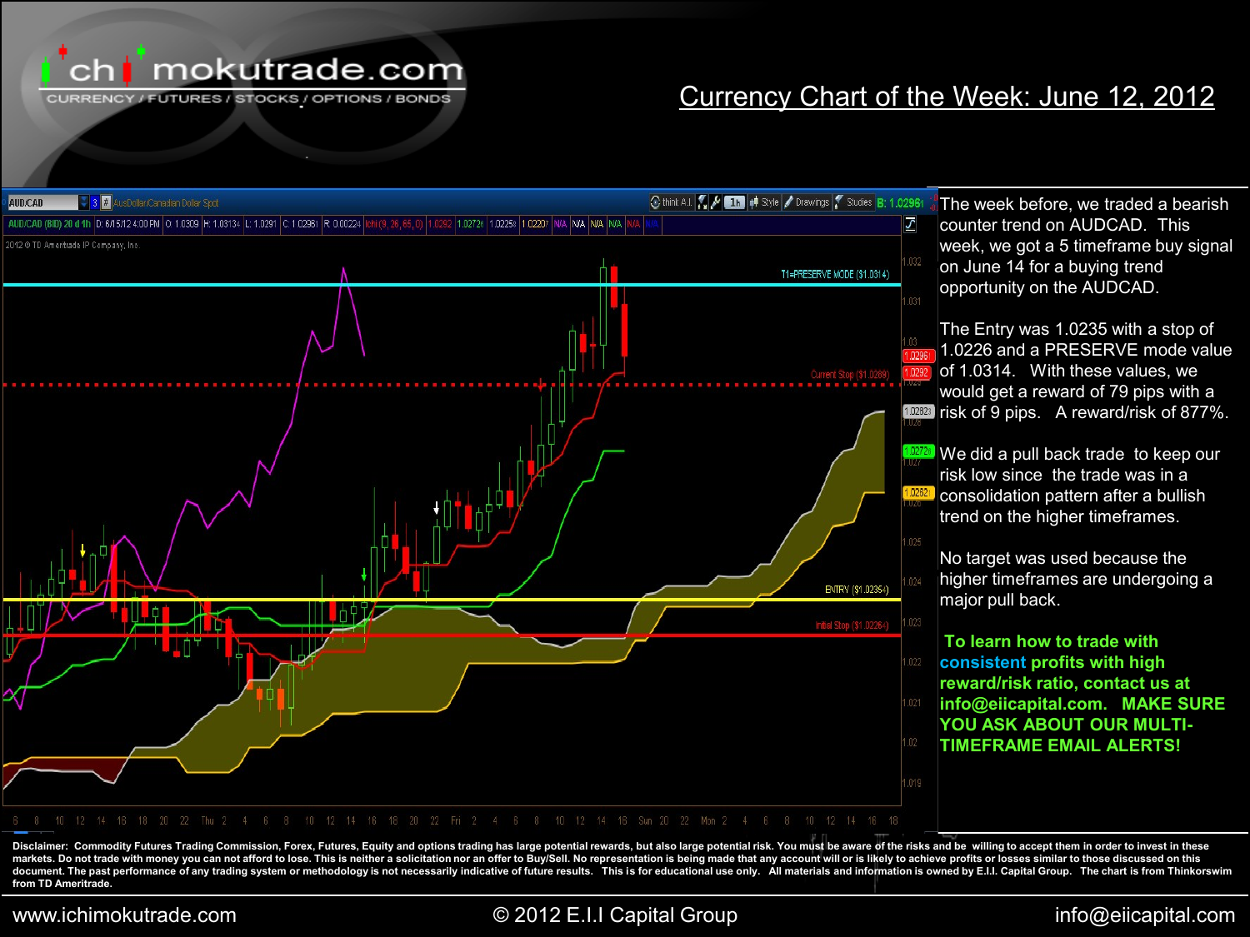

CURRENCY / FUTURES / STOCKS / OPTIONS / BONDS

### Currency Chart of the Week: June 12, 2012



Disclaimer: Commodity Futures Trading Commission, Forex, Futures, Equity and options trading has large potential rewards, but also large potential risk. You must be aware of the risks and be willing to accept them in order markets. Do not trade with money you can not afford to lose. This is neither a solicitation nor an offer to Buy/Sell. No representation is being made that any account will or is likely to achieve profits or losses similar document. The past performance of any trading system or methodology is not necessarily indicative of future results. This is for educational use only. All materials and information is owned by E.I.I. Capital Group. The cha **from TD Ameritrade.**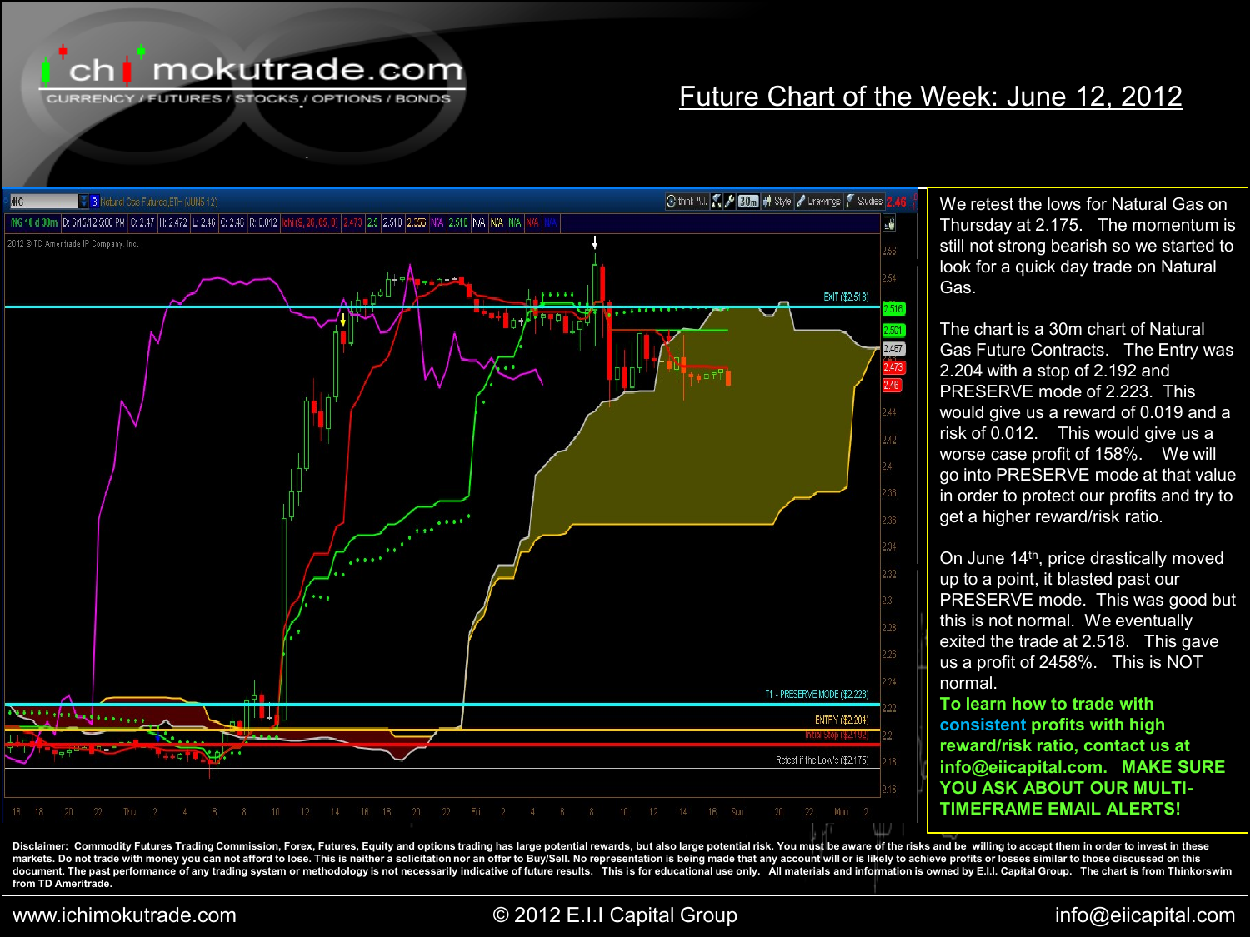

CURRENCY / FUTURES / STOCKS / OPTIONS / BONDS

## Future Chart of the Week: June 12, 2012



We retest the lows for Natural Gas on Thursday at 2.175. The momentum is still not strong bearish so we started to look for a quick day trade on Natural Gas.

The chart is a 30m chart of Natural Gas Future Contracts. The Entry was 2.204 with a stop of 2.192 and PRESERVE mode of 2.223. This would give us a reward of 0.019 and a risk of 0.012. This would give us a worse case profit of 158%. We will go into PRESERVE mode at that value in order to protect our profits and try to get a higher reward/risk ratio.

On June 14<sup>th</sup>, price drastically moved up to a point, it blasted past our PRESERVE mode. This was good but this is not normal. We eventually exited the trade at 2.518. This gave us a profit of 2458%. This is NOT normal.

**To learn how to trade with consistent profits with high reward/risk ratio, contact us at info@eiicapital.com. MAKE SURE YOU ASK ABOUT OUR MULTI-TIMEFRAME EMAIL ALERTS!**

Disclaimer: Commodity Futures Trading Commission, Forex, Futures, Equity and options trading has large potential rewards, but also large potential risk. You must be aware of the risks and be willing to accept them in order markets. Do not trade with money you can not afford to lose. This is neither a solicitation nor an offer to Buy/Sell. No representation is being made that any account will or is likely to achieve profits or losses similar document. The past performance of any trading system or methodology is not necessarily indicative of future results. This is for educational use only. All materials and information is owned by E.I.I. Capital Group. The cha **from TD Ameritrade.**